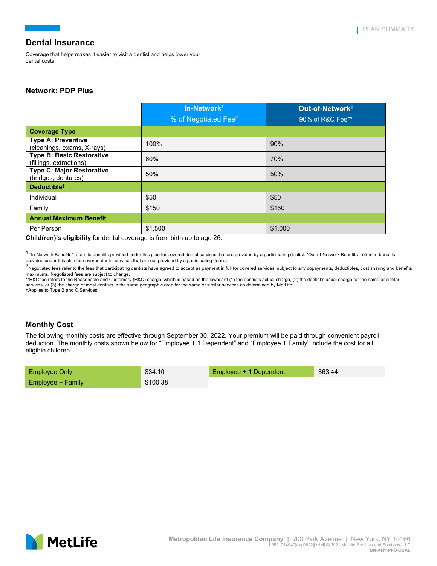Coverage that helps makes it easier to visit a dentist and helps lower your dental costs.

## **Network: PDP Plus**

|                                                             | In-Network <sup>1</sup>          | Out-of-Network <sup>1</sup> |
|-------------------------------------------------------------|----------------------------------|-----------------------------|
|                                                             | % of Negotiated Fee <sup>2</sup> | 90% of R&C Fee**            |
| <b>Coverage Type</b>                                        |                                  |                             |
| <b>Type A: Preventive</b><br>(cleanings, exams, X-rays)     | 100%                             | 90%                         |
| <b>Type B: Basic Restorative</b><br>(fillings, extractions) | 80%                              | 70%                         |
| <b>Type C: Major Restorative</b><br>(bridges, dentures)     | 50%                              | 50%                         |
| Deductible <sup>t</sup>                                     |                                  |                             |
| Individual                                                  | \$50                             | \$50                        |
| Family                                                      | \$150                            | \$150                       |
| <b>Annual Maximum Benefit</b>                               |                                  |                             |
| Per Person                                                  | \$1,500                          | \$1,000                     |

**Child(ren)'s eligibility** for dental coverage is from birth up to age 26.

<sup>1</sup> "In-Network Benefits" refers to benefits provided under this plan for covered dental services that are provided by a participating dentist. "Out-of-Network Benefits" refers to benefits provided under this plan for covered dental services that are not provided by a participating dentist.

.<br><sup>2</sup>Negotiated fees refer to the fees that participating dentists have agreed to accept as payment in full for covered services, subject to any copayments, deductibles, cost sharing and benefits

maximums. Negotiated fees are subject to change.<br>\*\*R&C fee refers to the Reasonable and Customary (R&C) charge, which is based on the lowest of (1) the dentist's actual charge, (2) the dentist's usual charge for the same o services, or (3) the charge of most dentists in the same geographic area for the same or similar services as determined by MetLife. †Applies to Type B and C Services.

## **Monthly Cost**

The following monthly costs are effective through September 30, 2022. Your premium will be paid through convenient payroll deduction. The monthly costs shown below for "Employee + 1 Dependent" and "Employee + Family" include the cost for all eligible children.

| Employee Only        | \$34.10  | Employee + 1 Dependent | \$63.44 |
|----------------------|----------|------------------------|---------|
| ⊦Employee + Family l | \$100.38 |                        |         |

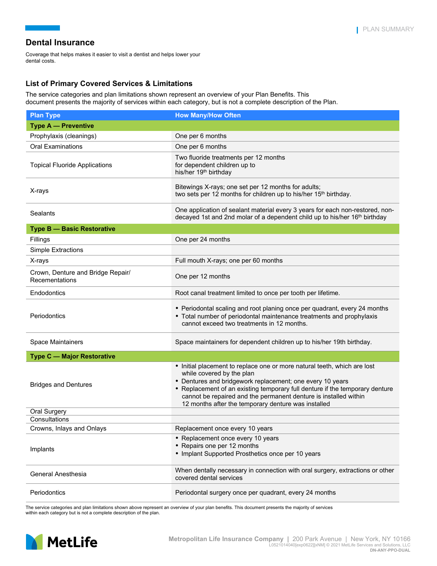Coverage that helps makes it easier to visit a dentist and helps lower your dental costs.

## **List of Primary Covered Services & Limitations**

The service categories and plan limitations shown represent an overview of your Plan Benefits. This document presents the majority of services within each category, but is not a complete description of the Plan.

| <b>Plan Type</b>                                    | <b>How Many/How Often</b>                                                                                                                                                                                                                                                                                                                                                     |  |
|-----------------------------------------------------|-------------------------------------------------------------------------------------------------------------------------------------------------------------------------------------------------------------------------------------------------------------------------------------------------------------------------------------------------------------------------------|--|
| <b>Type A - Preventive</b>                          |                                                                                                                                                                                                                                                                                                                                                                               |  |
| Prophylaxis (cleanings)                             | One per 6 months                                                                                                                                                                                                                                                                                                                                                              |  |
| <b>Oral Examinations</b>                            | One per 6 months                                                                                                                                                                                                                                                                                                                                                              |  |
| <b>Topical Fluoride Applications</b>                | Two fluoride treatments per 12 months<br>for dependent children up to<br>his/her 19 <sup>th</sup> birthday                                                                                                                                                                                                                                                                    |  |
| X-rays                                              | Bitewings X-rays; one set per 12 months for adults;<br>two sets per 12 months for children up to his/her 15 <sup>th</sup> birthday.                                                                                                                                                                                                                                           |  |
| Sealants                                            | One application of sealant material every 3 years for each non-restored, non-<br>decayed 1st and 2nd molar of a dependent child up to his/her 16 <sup>th</sup> birthday                                                                                                                                                                                                       |  |
| <b>Type B - Basic Restorative</b>                   |                                                                                                                                                                                                                                                                                                                                                                               |  |
| Fillings                                            | One per 24 months                                                                                                                                                                                                                                                                                                                                                             |  |
| Simple Extractions                                  |                                                                                                                                                                                                                                                                                                                                                                               |  |
| X-rays                                              | Full mouth X-rays; one per 60 months                                                                                                                                                                                                                                                                                                                                          |  |
| Crown, Denture and Bridge Repair/<br>Recementations | One per 12 months                                                                                                                                                                                                                                                                                                                                                             |  |
| Endodontics                                         | Root canal treatment limited to once per tooth per lifetime.                                                                                                                                                                                                                                                                                                                  |  |
| Periodontics                                        | • Periodontal scaling and root planing once per quadrant, every 24 months<br>• Total number of periodontal maintenance treatments and prophylaxis<br>cannot exceed two treatments in 12 months.                                                                                                                                                                               |  |
| Space Maintainers                                   | Space maintainers for dependent children up to his/her 19th birthday.                                                                                                                                                                                                                                                                                                         |  |
| Type C - Major Restorative                          |                                                                                                                                                                                                                                                                                                                                                                               |  |
| <b>Bridges and Dentures</b>                         | • Initial placement to replace one or more natural teeth, which are lost<br>while covered by the plan<br>• Dentures and bridgework replacement; one every 10 years<br>• Replacement of an existing temporary full denture if the temporary denture<br>cannot be repaired and the permanent denture is installed within<br>12 months after the temporary denture was installed |  |
| <b>Oral Surgery</b>                                 |                                                                                                                                                                                                                                                                                                                                                                               |  |
| Consultations                                       |                                                                                                                                                                                                                                                                                                                                                                               |  |
| Crowns, Inlays and Onlays                           | Replacement once every 10 years                                                                                                                                                                                                                                                                                                                                               |  |
| Implants                                            | • Replacement once every 10 years<br>• Repairs one per 12 months<br>• Implant Supported Prosthetics once per 10 years                                                                                                                                                                                                                                                         |  |
| General Anesthesia                                  | When dentally necessary in connection with oral surgery, extractions or other<br>covered dental services                                                                                                                                                                                                                                                                      |  |
| Periodontics                                        | Periodontal surgery once per quadrant, every 24 months                                                                                                                                                                                                                                                                                                                        |  |

The service categories and plan limitations shown above represent an overview of your plan benefits. This document presents the majority of services within each category but is not a complete description of the plan.

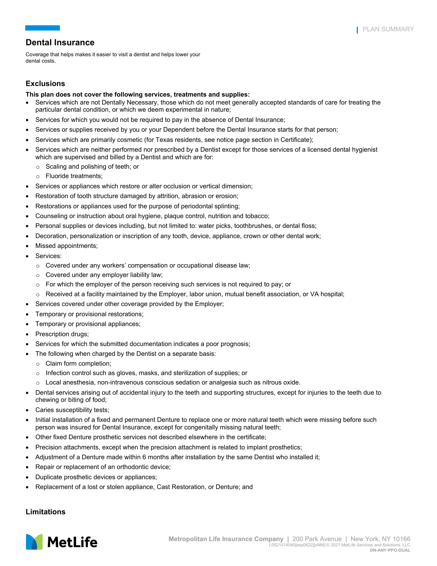Coverage that helps makes it easier to visit a dentist and helps lower your dental costs.

## **Exclusions**

### **This plan does not cover the following services, treatments and supplies:**

- Services which are not Dentally Necessary, those which do not meet generally accepted standards of care for treating the particular dental condition, or which we deem experimental in nature;
- Services for which you would not be required to pay in the absence of Dental Insurance;
- Services or supplies received by you or your Dependent before the Dental Insurance starts for that person;
- Services which are primarily cosmetic (for Texas residents, see notice page section in Certificate);
- Services which are neither performed nor prescribed by a Dentist except for those services of a licensed dental hygienist which are supervised and billed by a Dentist and which are for:
	- o Scaling and polishing of teeth; or
	- o Fluoride treatments;
- Services or appliances which restore or alter occlusion or vertical dimension;
- Restoration of tooth structure damaged by attrition, abrasion or erosion;
- Restorations or appliances used for the purpose of periodontal splinting;
- Counseling or instruction about oral hygiene, plaque control, nutrition and tobacco;
- Personal supplies or devices including, but not limited to: water picks, toothbrushes, or dental floss;
- Decoration, personalization or inscription of any tooth, device, appliance, crown or other dental work;
- Missed appointments;
- Services:
	- $\circ$  Covered under any workers' compensation or occupational disease law;
	- o Covered under any employer liability law;
	- $\circ$  For which the employer of the person receiving such services is not required to pay; or
	- o Received at a facility maintained by the Employer, labor union, mutual benefit association, or VA hospital;
- Services covered under other coverage provided by the Employer;
- Temporary or provisional restorations;
- Temporary or provisional appliances;
- Prescription drugs;
- Services for which the submitted documentation indicates a poor prognosis;
- The following when charged by the Dentist on a separate basis:
	- o Claim form completion;
	- o Infection control such as gloves, masks, and sterilization of supplies; or
- $\circ$  Local anesthesia, non-intravenous conscious sedation or analgesia such as nitrous oxide.
- Dental services arising out of accidental injury to the teeth and supporting structures, except for injuries to the teeth due to chewing or biting of food;
- Caries susceptibility tests;
- Initial installation of a fixed and permanent Denture to replace one or more natural teeth which were missing before such person was insured for Dental Insurance, except for congenitally missing natural teeth;
- Other fixed Denture prosthetic services not described elsewhere in the certificate;
- Precision attachments, except when the precision attachment is related to implant prosthetics;
- Adjustment of a Denture made within 6 months after installation by the same Dentist who installed it;
- Repair or replacement of an orthodontic device;
- Duplicate prosthetic devices or appliances;
- Replacement of a lost or stolen appliance, Cast Restoration, or Denture; and

### **Limitations**

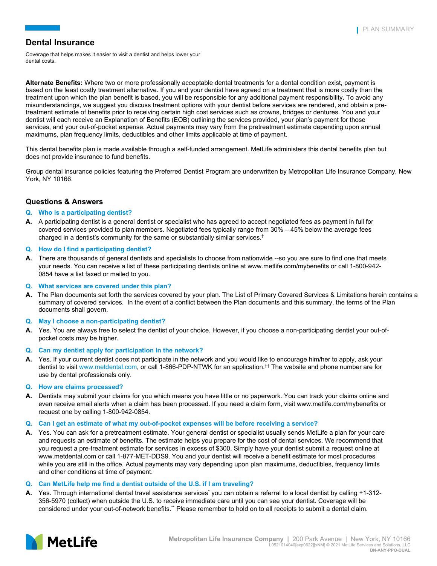Coverage that helps makes it easier to visit a dentist and helps lower your dental costs.

**Alternate Benefits:** Where two or more professionally acceptable dental treatments for a dental condition exist, payment is based on the least costly treatment alternative. If you and your dentist have agreed on a treatment that is more costly than the treatment upon which the plan benefit is based, you will be responsible for any additional payment responsibility. To avoid any misunderstandings, we suggest you discuss treatment options with your dentist before services are rendered, and obtain a pretreatment estimate of benefits prior to receiving certain high cost services such as crowns, bridges or dentures. You and your dentist will each receive an Explanation of Benefits (EOB) outlining the services provided, your plan's payment for those services, and your out-of-pocket expense. Actual payments may vary from the pretreatment estimate depending upon annual maximums, plan frequency limits, deductibles and other limits applicable at time of payment.

This dental benefits plan is made available through a self-funded arrangement. MetLife administers this dental benefits plan but does not provide insurance to fund benefits.

Group dental insurance policies featuring the Preferred Dentist Program are underwritten by Metropolitan Life Insurance Company, New York, NY 10166.

## **Questions & Answers**

### **Q. Who is a participating dentist?**

- **A.** A participating dentist is a general dentist or specialist who has agreed to accept negotiated fees as payment in full for covered services provided to plan members. Negotiated fees typically range from 30% – 45% below the average fees charged in a dentist's community for the same or substantially similar services.<sup>†</sup>
- **Q. How do I find a participating dentist?**
- **A.** There are thousands of general dentists and specialists to choose from nationwide --so you are sure to find one that meets your needs. You can receive a list of these participating dentists online at www.metlife.com/mybenefits or call 1-800-942- 0854 have a list faxed or mailed to you.
- **Q. What services are covered under this plan?**
- **A.** The Plan documents set forth the services covered by your plan. The List of Primary Covered Services & Limitations herein contains a summary of covered services. In the event of a conflict between the Plan documents and this summary, the terms of the Plan documents shall govern.
- **Q. May I choose a non-participating dentist?**
- **A.** Yes. You are always free to select the dentist of your choice. However, if you choose a non-participating dentist your out-ofpocket costs may be higher.
- **Q. Can my dentist apply for participation in the network?**
- **A.** Yes. If your current dentist does not participate in the network and you would like to encourage him/her to apply, ask your dentist to visit www.metdental.com, or call 1-866-PDP-NTWK for an application.†† The website and phone number are for use by dental professionals only.

### **Q. How are claims processed?**

- **A.** Dentists may submit your claims for you which means you have little or no paperwork. You can track your claims online and even receive email alerts when a claim has been processed. If you need a claim form, visit www.metlife.com/mybenefits or request one by calling 1-800-942-0854.
- **Q. Can I get an estimate of what my out-of-pocket expenses will be before receiving a service?**
- **A.** Yes. You can ask for a pretreatment estimate. Your general dentist or specialist usually sends MetLife a plan for your care and requests an estimate of benefits. The estimate helps you prepare for the cost of dental services. We recommend that you request a pre-treatment estimate for services in excess of \$300. Simply have your dentist submit a request online at www.metdental.com or call 1-877-MET-DDS9. You and your dentist will receive a benefit estimate for most procedures while you are still in the office. Actual payments may vary depending upon plan maximums, deductibles, frequency limits and other conditions at time of payment.

#### **Q. Can MetLife help me find a dentist outside of the U.S. if I am traveling?**

**A.** Yes. Through international dental travel assistance services<sup>\*</sup> you can obtain a referral to a local dentist by calling +1-312-356-5970 (collect) when outside the U.S. to receive immediate care until you can see your dentist. Coverage will be considered under your out-of-network benefits.\*\* Please remember to hold on to all receipts to submit a dental claim.